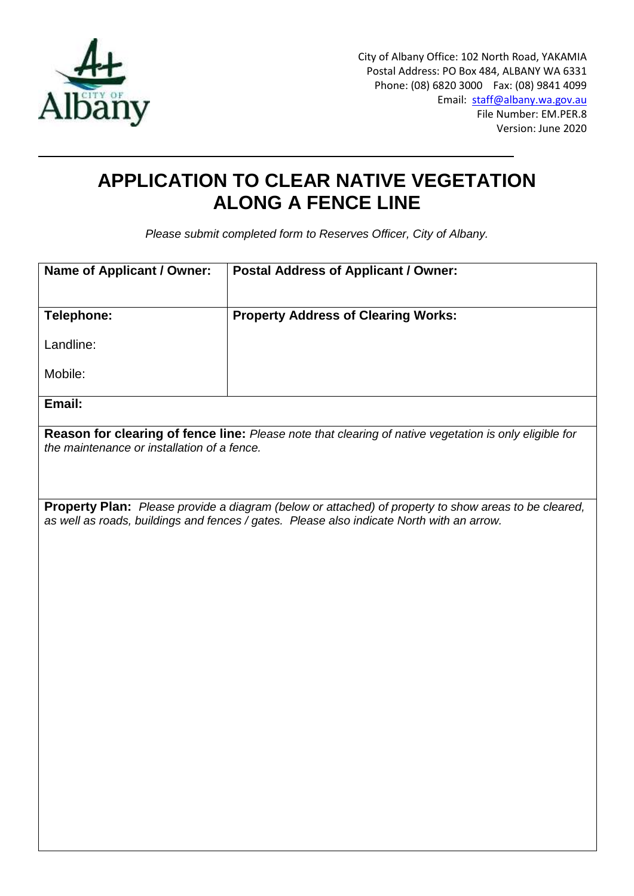

City of Albany Office: 102 North Road, YAKAMIA Postal Address: PO Box 484, ALBANY WA 6331 Phone: (08) 6820 3000 Fax: (08) 9841 4099 Email: [staff@albany.wa.gov.au](mailto:staff@albany.wa.gov.au) File Number: EM.PER.8 Version: June 2020

# **APPLICATION TO CLEAR NATIVE VEGETATION ALONG A FENCE LINE**

*Please submit completed form to Reserves Officer, City of Albany.*

| <b>Name of Applicant / Owner:</b>                                                                                                                     | <b>Postal Address of Applicant / Owner:</b> |
|-------------------------------------------------------------------------------------------------------------------------------------------------------|---------------------------------------------|
|                                                                                                                                                       |                                             |
| Telephone:                                                                                                                                            | <b>Property Address of Clearing Works:</b>  |
| Landline:                                                                                                                                             |                                             |
| Mobile:                                                                                                                                               |                                             |
| Email:                                                                                                                                                |                                             |
| Reason for clearing of fence line: Please note that clearing of native vegetation is only eligible for<br>the maintenance or installation of a fence. |                                             |
|                                                                                                                                                       |                                             |
| Property Plan: Please provide a diagram (below or attached) of property to show areas to be cleared,                                                  |                                             |
| as well as roads, buildings and fences / gates. Please also indicate North with an arrow.                                                             |                                             |
|                                                                                                                                                       |                                             |
|                                                                                                                                                       |                                             |
|                                                                                                                                                       |                                             |
|                                                                                                                                                       |                                             |
|                                                                                                                                                       |                                             |
|                                                                                                                                                       |                                             |
|                                                                                                                                                       |                                             |
|                                                                                                                                                       |                                             |
|                                                                                                                                                       |                                             |
|                                                                                                                                                       |                                             |